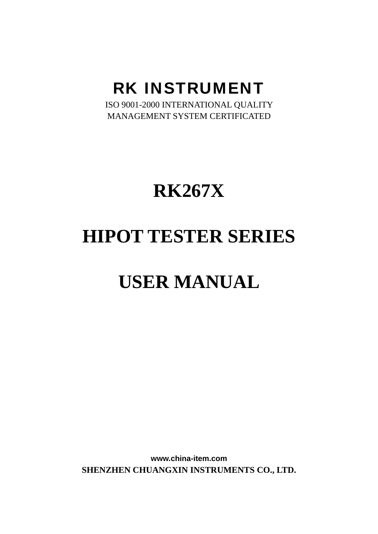### RK INSTRUMENT

ISO 9001-2000 INTERNATIONAL QUALITY MANAGEMENT SYSTEM CERTIFICATED

# **RK267X**

## **HIPOT TESTER SERIES**

# **USER MANUAL**

**www.china-item.com SHENZHEN CHUANGXIN INSTRUMENTS CO., LTD.**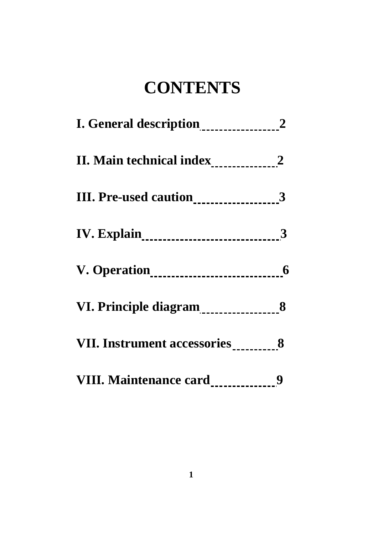## **CONTENTS**

| I. General description <sub>------------------</sub> 2                                                                                                                                                                                             |   |
|----------------------------------------------------------------------------------------------------------------------------------------------------------------------------------------------------------------------------------------------------|---|
|                                                                                                                                                                                                                                                    |   |
| III. Pre-used caution_____________________3                                                                                                                                                                                                        |   |
| <b>IV. Explain_______________________________3</b>                                                                                                                                                                                                 |   |
| V. Operation <sub>11111111111111111111111111111</sub> 6                                                                                                                                                                                            |   |
| VI. Principle diagram<br><u>[</u> 111][11] MI. Principle diagram<br>[12] MI. Principle diagram<br>[12] MI. Principle diagram<br>[12] MI. Principle diagram<br>[13] MI. Principle diagram<br>[13] MI. Principle diagram<br>[13] MI. Principle diagr |   |
| VII. Instrument accessories___________8                                                                                                                                                                                                            |   |
| VIII. Maintenance card_____________                                                                                                                                                                                                                | 9 |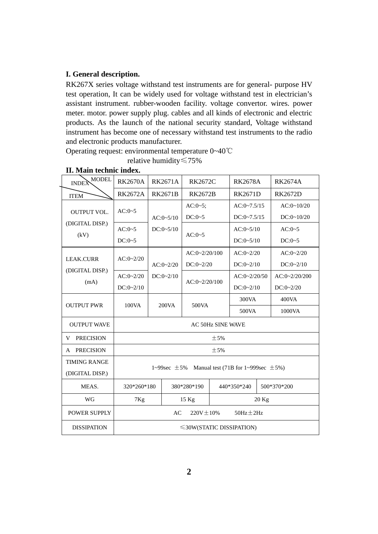#### **I. General description.**

RK267X series voltage withstand test instruments are for general- purpose HV test operation, It can be widely used for voltage withstand test in electrician's assistant instrument. rubber-wooden facility. voltage convertor. wires. power meter. motor. power supply plug. cables and all kinds of electronic and electric products. As the launch of the national security standard, Voltage withstand instrument has become one of necessary withstand test instruments to the radio and electronic products manufacturer.

Operating request: environmental temperature 0~40℃

relative humidity≤75%

| <b>MODEL</b><br><b>INDEX</b> | <b>RK2670A</b>                                               | <b>RK2671A</b> | <b>RK2672C</b>  |  | <b>RK2678A</b> |  | <b>RK2674A</b>  |  |          |
|------------------------------|--------------------------------------------------------------|----------------|-----------------|--|----------------|--|-----------------|--|----------|
| <b>ITEM</b>                  | <b>RK2672A</b>                                               | <b>RK2671B</b> | <b>RK2672B</b>  |  | <b>RK2671D</b> |  | <b>RK2672D</b>  |  |          |
|                              | $AC:0-5$                                                     |                | $AC:0-5;$       |  | $AC:0-7.5/15$  |  | AC:0~10/20      |  |          |
| <b>OUTPUT VOL.</b>           |                                                              | $AC:0-5/10$    | $DC:0-5$        |  | $DC:0-7.5/15$  |  | DC:0~10/20      |  |          |
| (DIGITAL DISP.)              | $AC:0-5$                                                     | $DC:0-5/10$    | $AC:0-5$        |  |                |  | AC:0~5/10       |  | $AC:0-5$ |
| (kV)                         | $DC:0-5$                                                     |                |                 |  | $DC:0-5/10$    |  | $DC:0-5$        |  |          |
| <b>LEAK.CURR</b>             | AC:0~2/20                                                    |                | $AC:0-2/20/100$ |  | AC:0~2/20      |  | AC:0~2/20       |  |          |
|                              |                                                              | AC:0~2/20      | DC:0~2/20       |  | DC:0~2/10      |  | DC:0~2/10       |  |          |
| (DIGITAL DISP.)              | AC:0~2/20                                                    | DC:0~2/10      | AC:0~2/20/100   |  | AC:0~2/20/50   |  | $AC:0-2/20/200$ |  |          |
| (mA)                         | DC:0~2/10                                                    |                |                 |  | DC:0~2/10      |  | DC:0~2/20       |  |          |
| <b>OUTPUT PWR</b>            |                                                              |                | 500VA           |  | 300VA          |  | 400VA           |  |          |
|                              | 100VA                                                        | 200VA          |                 |  | 500VA          |  | 1000VA          |  |          |
| <b>OUTPUT WAVE</b>           | <b>AC 50Hz SINE WAVE</b>                                     |                |                 |  |                |  |                 |  |          |
| <b>PRECISION</b><br>V        | $+5%$                                                        |                |                 |  |                |  |                 |  |          |
| <b>PRECISION</b><br>A        | $\pm$ 5%                                                     |                |                 |  |                |  |                 |  |          |
| <b>TIMING RANGE</b>          |                                                              |                |                 |  |                |  |                 |  |          |
| (DIGITAL DISP.)              | Manual test (71B for 1~999sec $\pm$ 5%)<br>1~99 sec $\pm$ 5% |                |                 |  |                |  |                 |  |          |
| MEAS.                        | 320*260*180                                                  |                | 380*280*190     |  | 440*350*240    |  | 500*370*200     |  |          |
| <b>WG</b>                    | 7Kg                                                          |                | $15$ Kg         |  | 20 Kg          |  |                 |  |          |
| <b>POWER SUPPLY</b>          | AC<br>$220V \pm 10\%$<br>$50Hz \pm 2Hz$                      |                |                 |  |                |  |                 |  |          |
| <b>DISSIPATION</b>           | $\leq$ 30W(STATIC DISSIPATION)                               |                |                 |  |                |  |                 |  |          |

#### **II. Main technic index.**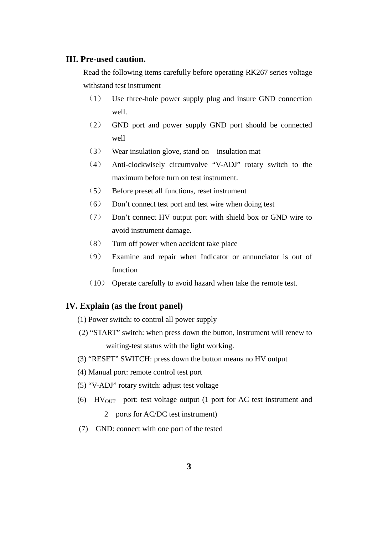### **III. Pre-used caution.**

Read the following items carefully before operating RK267 series voltage withstand test instrument

- (1) Use three-hole power supply plug and insure GND connection well.
- (2) GND port and power supply GND port should be connected well
- (3) Wear insulation glove, stand on insulation mat
- (4) Anti-clockwisely circumvolve "V-ADJ" rotary switch to the maximum before turn on test instrument.
- (5) Before preset all functions, reset instrument
- (6) Don't connect test port and test wire when doing test
- (7) Don't connect HV output port with shield box or GND wire to avoid instrument damage.
- (8) Turn off power when accident take place
- (9) Examine and repair when Indicator or annunciator is out of function
- (10) Operate carefully to avoid hazard when take the remote test.

#### **IV. Explain (as the front panel)**

- (1) Power switch: to control all power supply
- (2) "START" switch: when press down the button, instrument will renew to waiting-test status with the light working.
- (3) "RESET" SWITCH: press down the button means no HV output
- (4) Manual port: remote control test port
- (5) "V-ADJ" rotary switch: adjust test voltage
- (6)  $HV_{OUT}$  port: test voltage output (1 port for AC test instrument and

2 ports for AC/DC test instrument)

(7) GND: connect with one port of the tested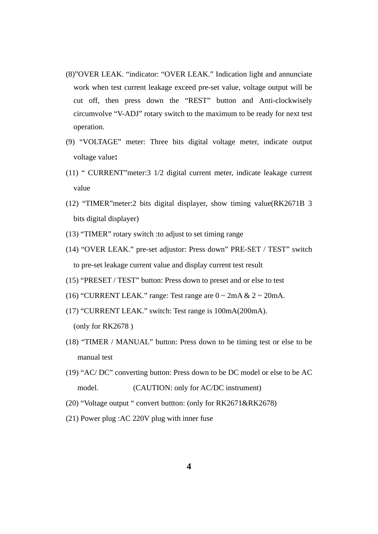- (8)"OVER LEAK. "indicator: "OVER LEAK." Indication light and annunciate work when test current leakage exceed pre-set value, voltage output will be cut off, then press down the "REST" button and Anti-clockwisely circumvolve "V-ADJ" rotary switch to the maximum to be ready for next test operation.
- (9) "VOLTAGE" meter: Three bits digital voltage meter, indicate output voltage value**:**
- (11) " CURRENT"meter:3 1/2 digital current meter, indicate leakage current value
- (12) "TIMER"meter:2 bits digital displayer, show timing value(RK2671B 3 bits digital displayer)
- (13) "TIMER" rotary switch :to adjust to set timing range
- (14) "OVER LEAK." pre-set adjustor: Press down" PRE-SET / TEST" switch to pre-set leakage current value and display current test result
- (15) "PRESET / TEST" button: Press down to preset and or else to test
- (16) "CURRENT LEAK." range: Test range are  $0 \sim 2 \text{mA} \& 2 \sim 20 \text{mA}$ .
- (17) "CURRENT LEAK." switch: Test range is 100mA(200mA). (only for RK2678 )
- (18) "TIMER / MANUAL" button: Press down to be timing test or else to be manual test
- (19) "AC/ DC" converting button: Press down to be DC model or else to be AC model. (CAUTION: only for AC/DC instrument)
- (20) "Voltage output " convert buttton: (only for RK2671&RK2678)
- (21) Power plug :AC 220V plug with inner fuse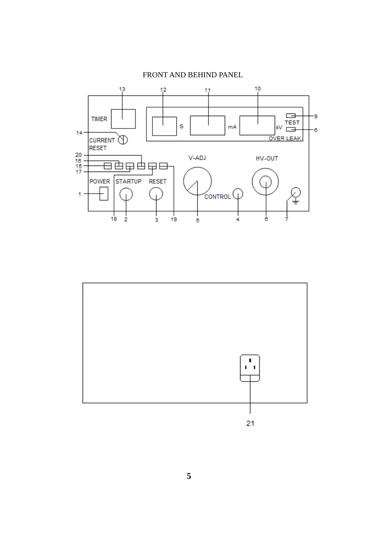

### FRONT AND BEHIND PANEL

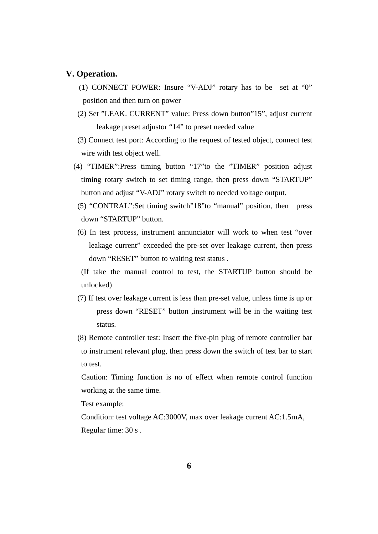#### **V. Operation.**

- (1) CONNECT POWER: Insure "V-ADJ" rotary has to be set at "0" position and then turn on power
- (2) Set "LEAK. CURRENT" value: Press down button"15", adjust current leakage preset adjustor "14" to preset needed value

 (3) Connect test port: According to the request of tested object, connect test wire with test object well.

(4) "TIMER":Press timing button "17"to the "TIMER" position adjust timing rotary switch to set timing range, then press down "STARTUP" button and adjust "V-ADJ" rotary switch to needed voltage output.

- (5) "CONTRAL":Set timing switch"18"to "manual" position, then press down "STARTUP" button.
- (6) In test process, instrument annunciator will work to when test "over leakage current" exceeded the pre-set over leakage current, then press down "RESET" button to waiting test status .

(If take the manual control to test, the STARTUP button should be unlocked)

- (7) If test over leakage current is less than pre-set value, unless time is up or press down "RESET" button ,instrument will be in the waiting test status.
- (8) Remote controller test: Insert the five-pin plug of remote controller bar to instrument relevant plug, then press down the switch of test bar to start to test.

 Caution: Timing function is no of effect when remote control function working at the same time.

Test example:

Condition: test voltage AC:3000V, max over leakage current AC:1.5mA, Regular time: 30 s .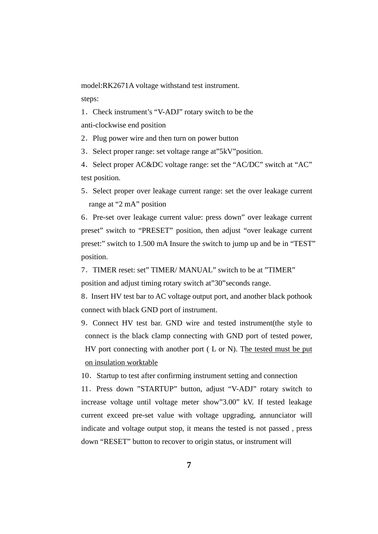model:RK2671A voltage withstand test instrument.

steps:

1.Check instrument's "V-ADJ" rotary switch to be the anti-clockwise end position

2. Plug power wire and then turn on power button

3. Select proper range: set voltage range at "5kV" position.

4.Select proper AC&DC voltage range: set the "AC/DC" switch at "AC" test position.

5.Select proper over leakage current range: set the over leakage current range at "2 mA" position

6.Pre-set over leakage current value: press down" over leakage current preset" switch to "PRESET" position, then adjust "over leakage current preset:" switch to 1.500 mA Insure the switch to jump up and be in "TEST" position.

7.TIMER reset: set" TIMER/ MANUAL" switch to be at "TIMER" position and adjust timing rotary switch at"30"seconds range.

8.Insert HV test bar to AC voltage output port, and another black pothook connect with black GND port of instrument.

9.Connect HV test bar. GND wire and tested instrument(the style to connect is the black clamp connecting with GND port of tested power, HV port connecting with another port ( L or N). The tested must be put on insulation worktable

10.Startup to test after confirming instrument setting and connection

11.Press down "STARTUP" button, adjust "V-ADJ" rotary switch to increase voltage until voltage meter show"3.00" kV. If tested leakage current exceed pre-set value with voltage upgrading, annunciator will indicate and voltage output stop, it means the tested is not passed , press down "RESET" button to recover to origin status, or instrument will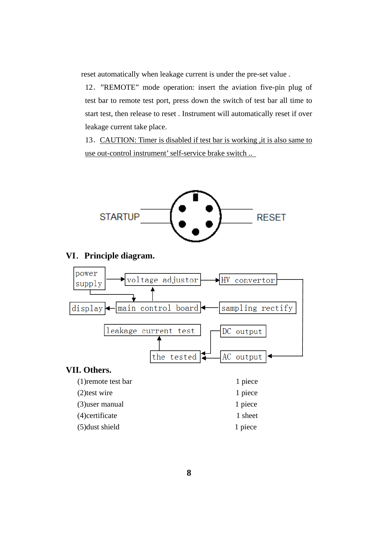reset automatically when leakage current is under the pre-set value .

12."REMOTE" mode operation: insert the aviation five-pin plug of test bar to remote test port, press down the switch of test bar all time to start test, then release to reset . Instrument will automatically reset if over leakage current take place.

13. CAUTION: Timer is disabled if test bar is working, it is also same to use out-control instrument' self-service brake switch ..